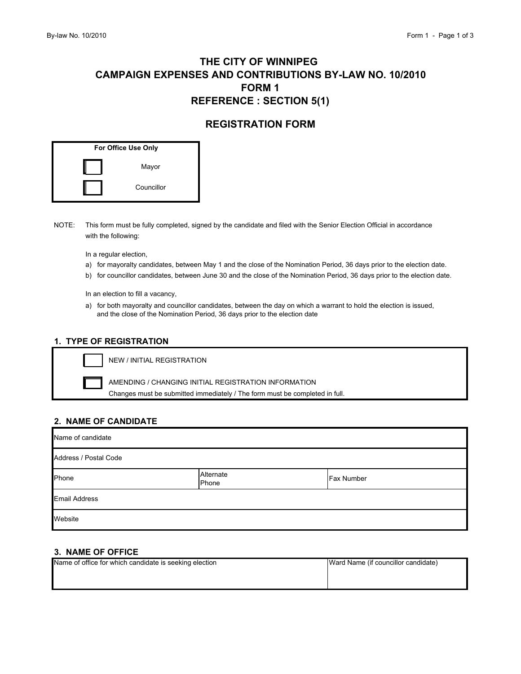# **FORM 1 CAMPAIGN EXPENSES AND CONTRIBUTIONS BY-LAW NO. 10/2010 THE CITY OF WINNIPEG REFERENCE : SECTION 5(1)**

## **REGISTRATION FORM**

| For Office Use Only |            |  |
|---------------------|------------|--|
|                     | Mayor      |  |
|                     | Councillor |  |

NOTE: This form must be fully completed, signed by the candidate and filed with the Senior Election Official in accordance with the following:

In a regular election,

- a) for mayoralty candidates, between May 1 and the close of the Nomination Period, 36 days prior to the election date.
- b) for councillor candidates, between June 30 and the close of the Nomination Period, 36 days prior to the election date.

In an election to fill a vacancy,

a) for both mayoralty and councillor candidates, between the day on which a warrant to hold the election is issued, and the close of the Nomination Period, 36 days prior to the election date

#### **1. TYPE OF REGISTRATION**

NEW / INITIAL REGISTRATION

 Changes must be submitted immediately / The form must be completed in full. AMENDING / CHANGING INITIAL REGISTRATION INFORMATION

#### **2. NAME OF CANDIDATE**

| Name of candidate     |                    |                   |  |
|-----------------------|--------------------|-------------------|--|
| Address / Postal Code |                    |                   |  |
| Phone                 | Alternate<br>Phone | <b>Fax Number</b> |  |
| <b>Email Address</b>  |                    |                   |  |
| Website               |                    |                   |  |

#### **3. NAME OF OFFICE**

| Name of office for which candidate is seeking election | Ward Name (if councillor candidate) |
|--------------------------------------------------------|-------------------------------------|
|                                                        |                                     |
|                                                        |                                     |
|                                                        |                                     |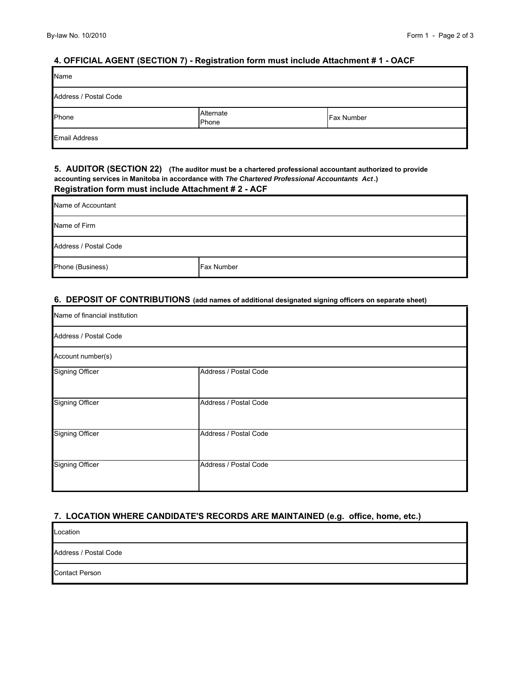#### **4. OFFICIAL AGENT (SECTION 7) - Registration form must include Attachment # 1 - OACF**

| Name                  |                    |                   |
|-----------------------|--------------------|-------------------|
| Address / Postal Code |                    |                   |
| Phone                 | Alternate<br>Phone | <b>Fax Number</b> |
| <b>Email Address</b>  |                    |                   |

#### **5. AUDITOR (SECTION 22) (The auditor must be a chartered professional accountant authorized to provide accounting services in Manitoba in accordance with** *The Chartered Professional Accountants Act***.) Registration form must include Attachment # 2 - ACF**

| Name of Accountant    |                   |  |
|-----------------------|-------------------|--|
| Name of Firm          |                   |  |
| Address / Postal Code |                   |  |
| Phone (Business)      | <b>Fax Number</b> |  |

#### **6. DEPOSIT OF CONTRIBUTIONS (add names of additional designated signing officers on separate sheet)**

| Name of financial institution |  |
|-------------------------------|--|
|                               |  |
|                               |  |
| Address / Postal Code         |  |
| Address / Postal Code         |  |
| Address / Postal Code         |  |
| Address / Postal Code         |  |
|                               |  |

#### **7. LOCATION WHERE CANDIDATE'S RECORDS ARE MAINTAINED (e.g. office, home, etc.)**

| Location              |  |
|-----------------------|--|
| Address / Postal Code |  |
| <b>Contact Person</b> |  |